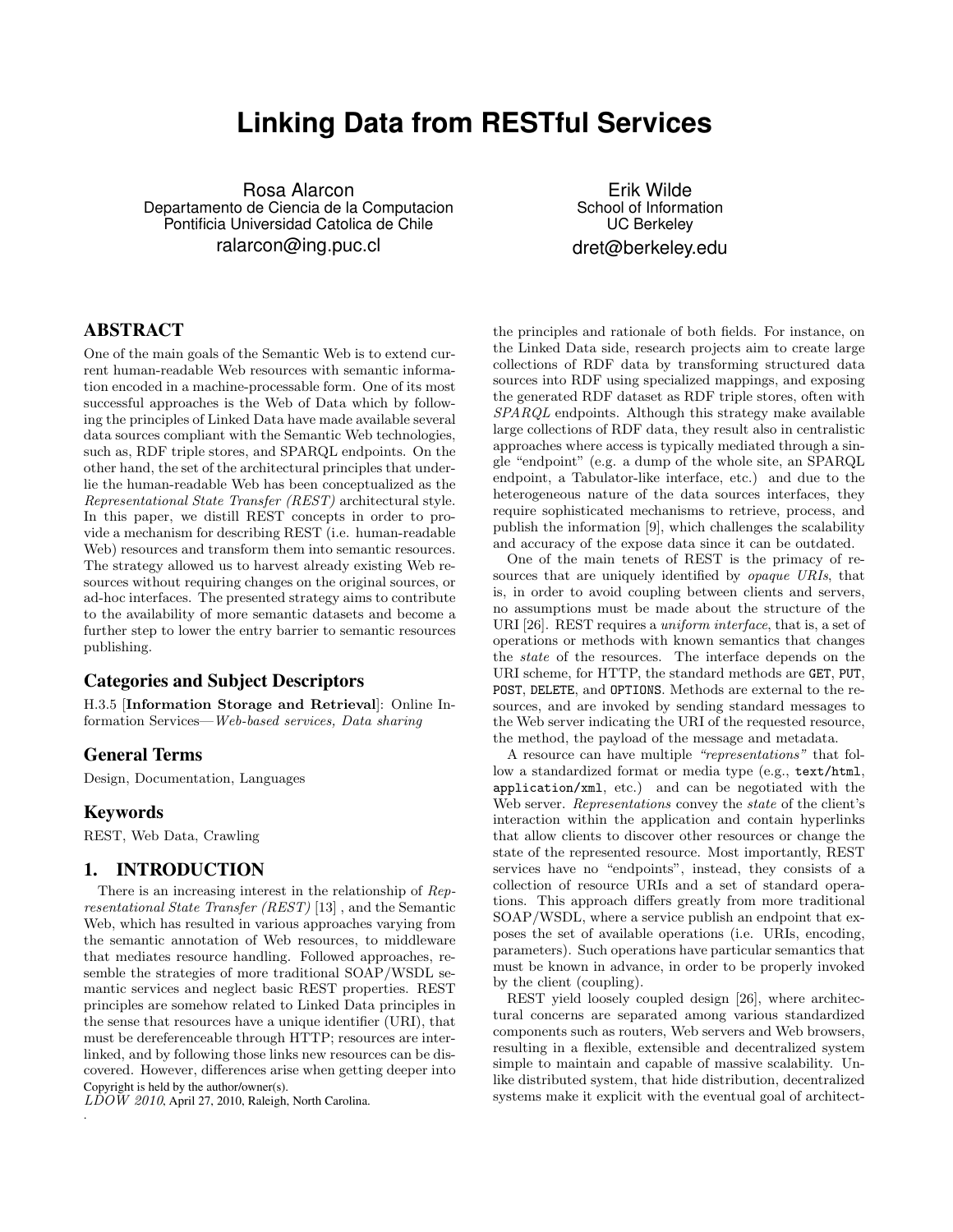# **Linking Data from RESTful Services**

Rosa Alarcon Departamento de Ciencia de la Computacion Pontificia Universidad Catolica de Chile ralarcon@ing.puc.cl

Erik Wilde School of Information UC Berkeley dret@berkeley.edu

## ABSTRACT

One of the main goals of the Semantic Web is to extend current human-readable Web resources with semantic information encoded in a machine-processable form. One of its most successful approaches is the Web of Data which by following the principles of Linked Data have made available several data sources compliant with the Semantic Web technologies, such as, RDF triple stores, and SPARQL endpoints. On the other hand, the set of the architectural principles that underlie the human-readable Web has been conceptualized as the Representational State Transfer (REST) architectural style. In this paper, we distill REST concepts in order to provide a mechanism for describing REST (i.e. human-readable Web) resources and transform them into semantic resources. The strategy allowed us to harvest already existing Web resources without requiring changes on the original sources, or ad-hoc interfaces. The presented strategy aims to contribute to the availability of more semantic datasets and become a further step to lower the entry barrier to semantic resources publishing.

## Categories and Subject Descriptors

H.3.5 [Information Storage and Retrieval]: Online Information Services—Web-based services, Data sharing

## General Terms

Design, Documentation, Languages

#### Keywords

.

REST, Web Data, Crawling

#### 1. INTRODUCTION

There is an increasing interest in the relationship of Representational State Transfer (REST) [\[13\]](#page-8-0) , and the Semantic Web, which has resulted in various approaches varying from the semantic annotation of Web resources, to middleware that mediates resource handling. Followed approaches, resemble the strategies of more traditional SOAP/WSDL semantic services and neglect basic REST properties. REST principles are somehow related to Linked Data principles in the sense that resources have a unique identifier (URI), that must be dereferenceable through HTTP; resources are interlinked, and by following those links new resources can be discovered. However, differences arise when getting deeper into Copyright is held by the author/owner(s).

 $L\tilde{D}OW$  2010, April 27, 2010, Raleigh, North Carolina.

the principles and rationale of both fields. For instance, on the Linked Data side, research projects aim to create large collections of RDF data by transforming structured data sources into RDF using specialized mappings, and exposing the generated RDF dataset as RDF triple stores, often with SPARQL endpoints. Although this strategy make available large collections of RDF data, they result also in centralistic approaches where access is typically mediated through a single "endpoint" (e.g. a dump of the whole site, an SPARQL endpoint, a Tabulator-like interface, etc.) and due to the heterogeneous nature of the data sources interfaces, they require sophisticated mechanisms to retrieve, process, and publish the information [\[9\]](#page-8-0), which challenges the scalability and accuracy of the expose data since it can be outdated.

One of the main tenets of REST is the primacy of resources that are uniquely identified by *opaque URIs*, that is, in order to avoid coupling between clients and servers, no assumptions must be made about the structure of the URI [\[26\]](#page-9-0). REST requires a *uniform interface*, that is, a set of operations or methods with known semantics that changes the state of the resources. The interface depends on the URI scheme, for HTTP, the standard methods are GET, PUT, POST, DELETE, and OPTIONS. Methods are external to the resources, and are invoked by sending standard messages to the Web server indicating the URI of the requested resource, the method, the payload of the message and metadata.

A resource can have multiple "representations" that follow a standardized format or media type (e.g., text/html, application/xml, etc.) and can be negotiated with the Web server. Representations convey the state of the client's interaction within the application and contain hyperlinks that allow clients to discover other resources or change the state of the represented resource. Most importantly, REST services have no "endpoints", instead, they consists of a collection of resource URIs and a set of standard operations. This approach differs greatly from more traditional SOAP/WSDL, where a service publish an endpoint that exposes the set of available operations (i.e. URIs, encoding, parameters). Such operations have particular semantics that must be known in advance, in order to be properly invoked by the client (coupling).

REST yield loosely coupled design [\[26\]](#page-9-0), where architectural concerns are separated among various standardized components such as routers, Web servers and Web browsers, resulting in a flexible, extensible and decentralized system simple to maintain and capable of massive scalability. Unlike distributed system, that hide distribution, decentralized systems make it explicit with the eventual goal of architect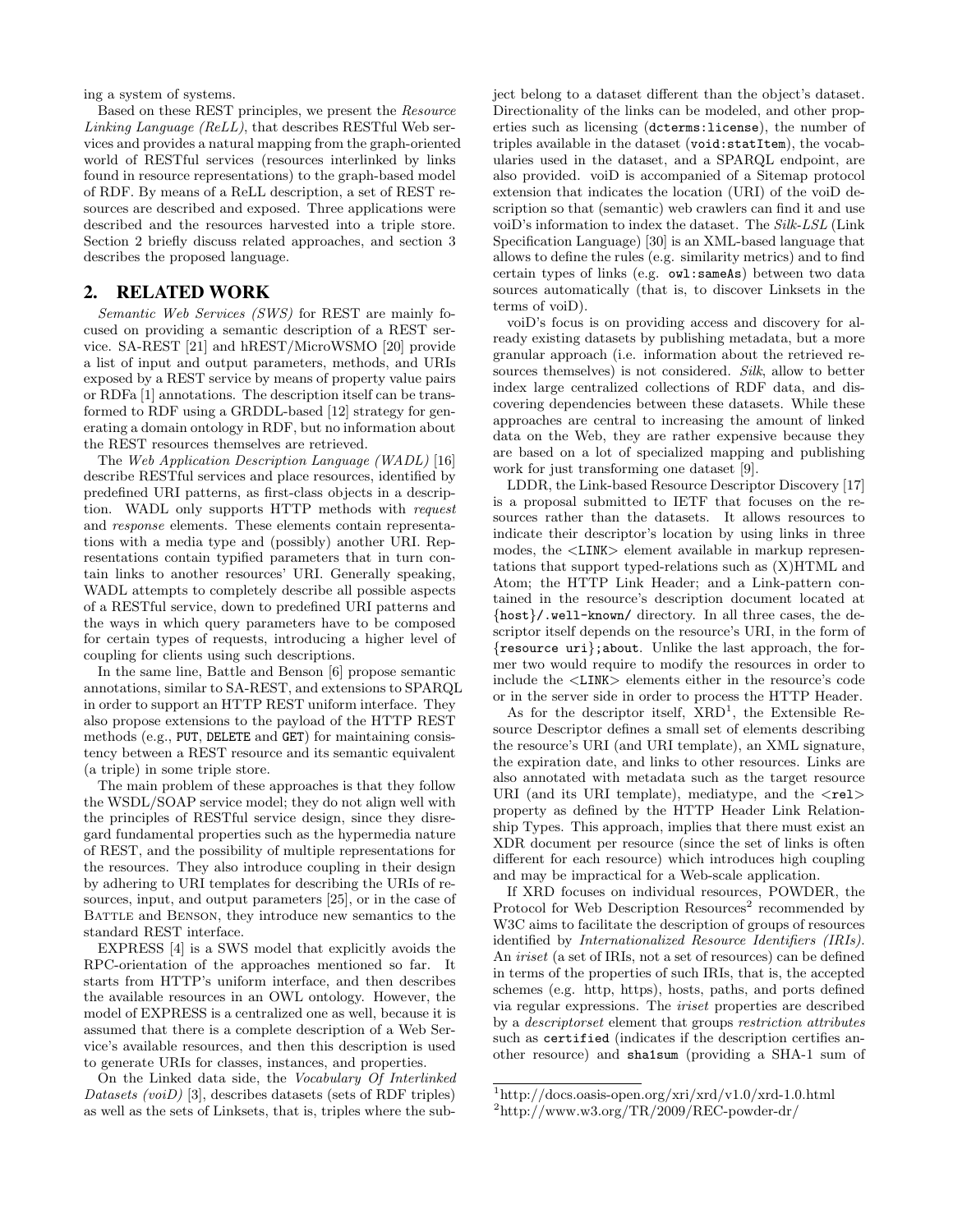ing a system of systems.

Based on these REST principles, we present the Resource Linking Language (ReLL), that describes RESTful Web services and provides a natural mapping from the graph-oriented world of RESTful services (resources interlinked by links found in resource representations) to the graph-based model of RDF. By means of a ReLL description, a set of REST resources are described and exposed. Three applications were described and the resources harvested into a triple store. Section 2 briefly discuss related approaches, and section [3](#page-2-0) describes the proposed language.

## 2. RELATED WORK

Semantic Web Services (SWS) for REST are mainly focused on providing a semantic description of a REST service. SA-REST [\[21\]](#page-9-0) and hREST/MicroWSMO [\[20\]](#page-9-0) provide a list of input and output parameters, methods, and URIs exposed by a REST service by means of property value pairs or RDFa [\[1\]](#page-8-0) annotations. The description itself can be transformed to RDF using a GRDDL-based [\[12\]](#page-8-0) strategy for generating a domain ontology in RDF, but no information about the REST resources themselves are retrieved.

The Web Application Description Language (WADL) [\[16\]](#page-8-0) describe RESTful services and place resources, identified by predefined URI patterns, as first-class objects in a description. WADL only supports HTTP methods with request and response elements. These elements contain representations with a media type and (possibly) another URI. Representations contain typified parameters that in turn contain links to another resources' URI. Generally speaking, WADL attempts to completely describe all possible aspects of a RESTful service, down to predefined URI patterns and the ways in which query parameters have to be composed for certain types of requests, introducing a higher level of coupling for clients using such descriptions.

In the same line, Battle and Benson [\[6\]](#page-8-0) propose semantic annotations, similar to SA-REST, and extensions to SPARQL in order to support an HTTP REST uniform interface. They also propose extensions to the payload of the HTTP REST methods (e.g., PUT, DELETE and GET) for maintaining consistency between a REST resource and its semantic equivalent (a triple) in some triple store.

The main problem of these approaches is that they follow the WSDL/SOAP service model; they do not align well with the principles of RESTful service design, since they disregard fundamental properties such as the hypermedia nature of REST, and the possibility of multiple representations for the resources. They also introduce coupling in their design by adhering to URI templates for describing the URIs of resources, input, and output parameters [\[25\]](#page-9-0), or in the case of BATTLE and BENSON, they introduce new semantics to the standard REST interface.

EXPRESS [\[4\]](#page-8-0) is a SWS model that explicitly avoids the RPC-orientation of the approaches mentioned so far. It starts from HTTP's uniform interface, and then describes the available resources in an OWL ontology. However, the model of EXPRESS is a centralized one as well, because it is assumed that there is a complete description of a Web Service's available resources, and then this description is used to generate URIs for classes, instances, and properties.

On the Linked data side, the Vocabulary Of Interlinked Datasets (voiD) [\[3\]](#page-8-0), describes datasets (sets of RDF triples) as well as the sets of Linksets, that is, triples where the subject belong to a dataset different than the object's dataset. Directionality of the links can be modeled, and other properties such as licensing (dcterms:license), the number of triples available in the dataset (void:statItem), the vocabularies used in the dataset, and a SPARQL endpoint, are also provided. voiD is accompanied of a Sitemap protocol extension that indicates the location (URI) of the voiD description so that (semantic) web crawlers can find it and use voiD's information to index the dataset. The Silk-LSL (Link Specification Language) [\[30\]](#page-9-0) is an XML-based language that allows to define the rules (e.g. similarity metrics) and to find certain types of links (e.g. owl:sameAs) between two data sources automatically (that is, to discover Linksets in the terms of voiD).

voiD's focus is on providing access and discovery for already existing datasets by publishing metadata, but a more granular approach (i.e. information about the retrieved resources themselves) is not considered. Silk, allow to better index large centralized collections of RDF data, and discovering dependencies between these datasets. While these approaches are central to increasing the amount of linked data on the Web, they are rather expensive because they are based on a lot of specialized mapping and publishing work for just transforming one dataset [\[9\]](#page-8-0).

LDDR, the Link-based Resource Descriptor Discovery [\[17\]](#page-8-0) is a proposal submitted to IETF that focuses on the resources rather than the datasets. It allows resources to indicate their descriptor's location by using links in three modes, the <LINK> element available in markup representations that support typed-relations such as (X)HTML and Atom; the HTTP Link Header; and a Link-pattern contained in the resource's description document located at {host}/.well-known/ directory. In all three cases, the descriptor itself depends on the resource's URI, in the form of {resource uri};about. Unlike the last approach, the former two would require to modify the resources in order to include the <LINK> elements either in the resource's code or in the server side in order to process the HTTP Header.

As for the descriptor itself,  $XRD<sup>1</sup>$ , the Extensible Resource Descriptor defines a small set of elements describing the resource's URI (and URI template), an XML signature, the expiration date, and links to other resources. Links are also annotated with metadata such as the target resource URI (and its URI template), mediatype, and the  $\langle$ rel $>$ property as defined by the HTTP Header Link Relationship Types. This approach, implies that there must exist an XDR document per resource (since the set of links is often different for each resource) which introduces high coupling and may be impractical for a Web-scale application.

If XRD focuses on individual resources, POWDER, the Protocol for Web Description Resources<sup>2</sup> recommended by W3C aims to facilitate the description of groups of resources identified by Internationalized Resource Identifiers (IRIs). An iriset (a set of IRIs, not a set of resources) can be defined in terms of the properties of such IRIs, that is, the accepted schemes (e.g. http, https), hosts, paths, and ports defined via regular expressions. The iriset properties are described by a descriptorset element that groups restriction attributes such as certified (indicates if the description certifies another resource) and sha1sum (providing a SHA-1 sum of

<sup>1</sup>http://docs.oasis-open.org/xri/xrd/v1.0/xrd-1.0.html

<sup>2</sup>http://www.w3.org/TR/2009/REC-powder-dr/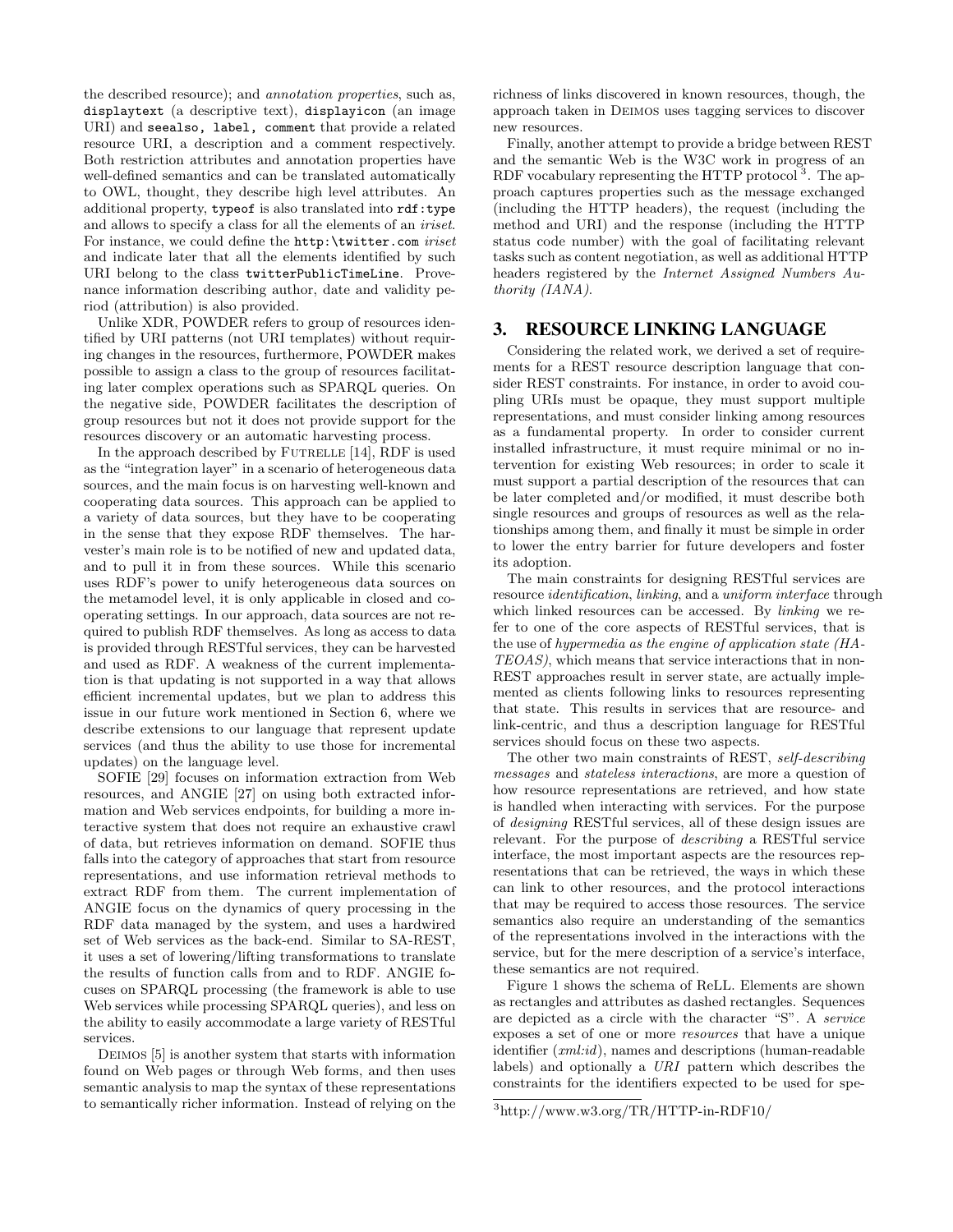<span id="page-2-0"></span>the described resource); and annotation properties, such as, displaytext (a descriptive text), displayicon (an image URI) and seealso, label, comment that provide a related resource URI, a description and a comment respectively. Both restriction attributes and annotation properties have well-defined semantics and can be translated automatically to OWL, thought, they describe high level attributes. An additional property, typeof is also translated into  $\texttt{rdf:type}$ and allows to specify a class for all the elements of an iriset. For instance, we could define the http: \twitter.com iriset and indicate later that all the elements identified by such URI belong to the class twitterPublicTimeLine. Provenance information describing author, date and validity period (attribution) is also provided.

Unlike XDR, POWDER refers to group of resources identified by URI patterns (not URI templates) without requiring changes in the resources, furthermore, POWDER makes possible to assign a class to the group of resources facilitating later complex operations such as SPARQL queries. On the negative side, POWDER facilitates the description of group resources but not it does not provide support for the resources discovery or an automatic harvesting process.

In the approach described by FUTRELLE [\[14\]](#page-8-0), RDF is used as the "integration layer" in a scenario of heterogeneous data sources, and the main focus is on harvesting well-known and cooperating data sources. This approach can be applied to a variety of data sources, but they have to be cooperating in the sense that they expose RDF themselves. The harvester's main role is to be notified of new and updated data, and to pull it in from these sources. While this scenario uses RDF's power to unify heterogeneous data sources on the metamodel level, it is only applicable in closed and cooperating settings. In our approach, data sources are not required to publish RDF themselves. As long as access to data is provided through RESTful services, they can be harvested and used as RDF. A weakness of the current implementation is that updating is not supported in a way that allows efficient incremental updates, but we plan to address this issue in our future work mentioned in Section [6,](#page-7-0) where we describe extensions to our language that represent update services (and thus the ability to use those for incremental updates) on the language level.

SOFIE [\[29\]](#page-9-0) focuses on information extraction from Web resources, and ANGIE [\[27\]](#page-9-0) on using both extracted information and Web services endpoints, for building a more interactive system that does not require an exhaustive crawl of data, but retrieves information on demand. SOFIE thus falls into the category of approaches that start from resource representations, and use information retrieval methods to extract RDF from them. The current implementation of ANGIE focus on the dynamics of query processing in the RDF data managed by the system, and uses a hardwired set of Web services as the back-end. Similar to SA-REST, it uses a set of lowering/lifting transformations to translate the results of function calls from and to RDF. ANGIE focuses on SPARQL processing (the framework is able to use Web services while processing SPARQL queries), and less on the ability to easily accommodate a large variety of RESTful services.

Deimos [\[5\]](#page-8-0) is another system that starts with information found on Web pages or through Web forms, and then uses semantic analysis to map the syntax of these representations to semantically richer information. Instead of relying on the richness of links discovered in known resources, though, the approach taken in Deimos uses tagging services to discover new resources.

Finally, another attempt to provide a bridge between REST and the semantic Web is the W3C work in progress of an RDF vocabulary representing the HTTP protocol<sup>3</sup>. The approach captures properties such as the message exchanged (including the HTTP headers), the request (including the method and URI) and the response (including the HTTP status code number) with the goal of facilitating relevant tasks such as content negotiation, as well as additional HTTP headers registered by the Internet Assigned Numbers Authority (IANA).

## 3. RESOURCE LINKING LANGUAGE

Considering the related work, we derived a set of requirements for a REST resource description language that consider REST constraints. For instance, in order to avoid coupling URIs must be opaque, they must support multiple representations, and must consider linking among resources as a fundamental property. In order to consider current installed infrastructure, it must require minimal or no intervention for existing Web resources; in order to scale it must support a partial description of the resources that can be later completed and/or modified, it must describe both single resources and groups of resources as well as the relationships among them, and finally it must be simple in order to lower the entry barrier for future developers and foster its adoption.

The main constraints for designing RESTful services are resource identification, linking, and a uniform interface through which linked resources can be accessed. By *linking* we refer to one of the core aspects of RESTful services, that is the use of hypermedia as the engine of application state (HA-TEOAS), which means that service interactions that in non-REST approaches result in server state, are actually implemented as clients following links to resources representing that state. This results in services that are resource- and link-centric, and thus a description language for RESTful services should focus on these two aspects.

The other two main constraints of REST, self-describing messages and stateless interactions, are more a question of how resource representations are retrieved, and how state is handled when interacting with services. For the purpose of designing RESTful services, all of these design issues are relevant. For the purpose of describing a RESTful service interface, the most important aspects are the resources representations that can be retrieved, the ways in which these can link to other resources, and the protocol interactions that may be required to access those resources. The service semantics also require an understanding of the semantics of the representations involved in the interactions with the service, but for the mere description of a service's interface, these semantics are not required.

Figure [1](#page-3-0) shows the schema of ReLL. Elements are shown as rectangles and attributes as dashed rectangles. Sequences are depicted as a circle with the character "S". A service exposes a set of one or more resources that have a unique identifier (*xml:id*), names and descriptions (human-readable labels) and optionally a URI pattern which describes the constraints for the identifiers expected to be used for spe-

<sup>3</sup>http://www.w3.org/TR/HTTP-in-RDF10/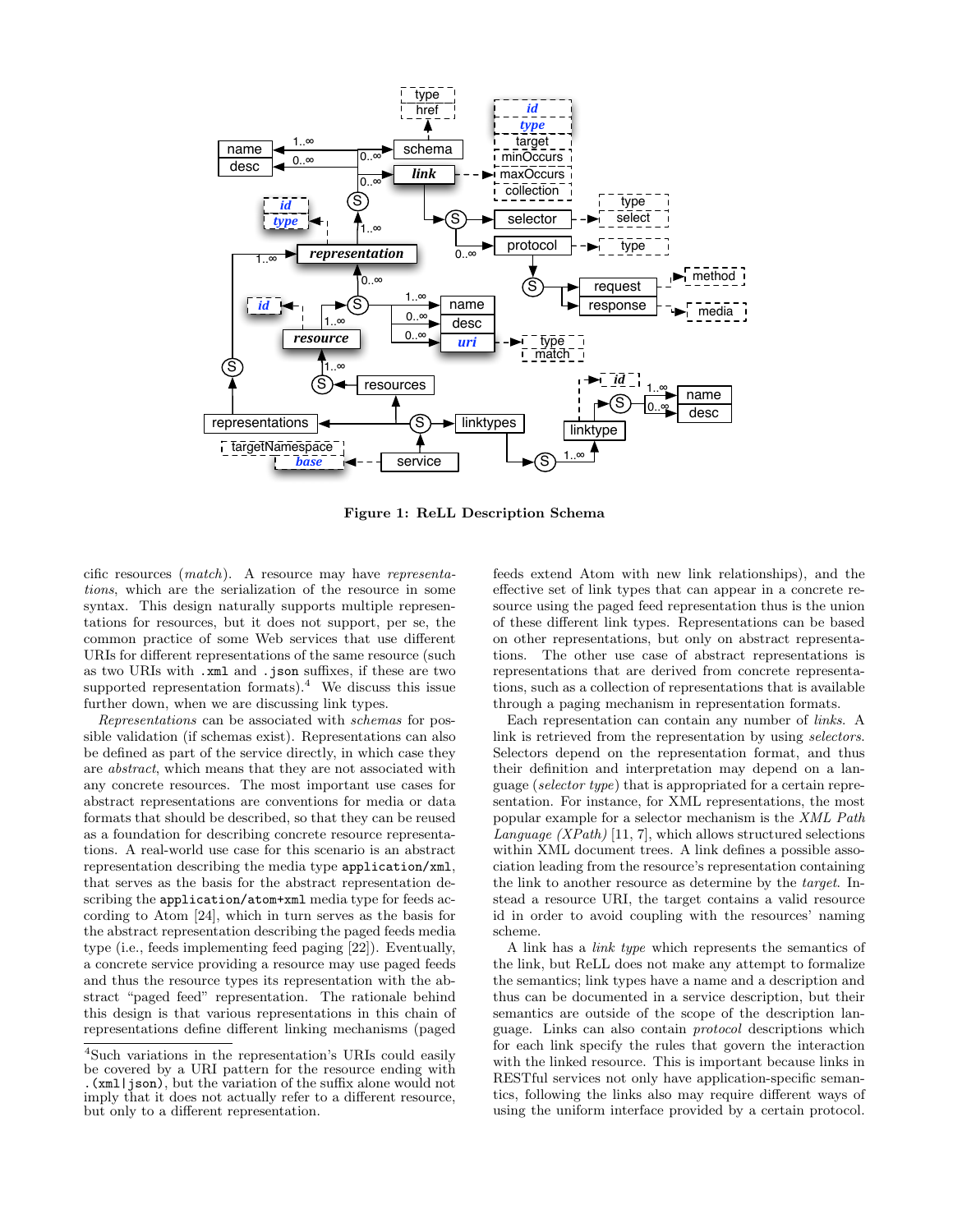<span id="page-3-0"></span>

Figure 1: ReLL Description Schema

cific resources (match). A resource may have representations, which are the serialization of the resource in some syntax. This design naturally supports multiple representations for resources, but it does not support, per se, the common practice of some Web services that use different URIs for different representations of the same resource (such as two URIs with .xml and .json suffixes, if these are two supported representation formats). $4$  We discuss this issue further down, when we are discussing link types.

Representations can be associated with schemas for possible validation (if schemas exist). Representations can also be defined as part of the service directly, in which case they are abstract, which means that they are not associated with any concrete resources. The most important use cases for abstract representations are conventions for media or data formats that should be described, so that they can be reused as a foundation for describing concrete resource representations. A real-world use case for this scenario is an abstract representation describing the media type application/xml, that serves as the basis for the abstract representation describing the application/atom+xml media type for feeds according to Atom [\[24\]](#page-9-0), which in turn serves as the basis for the abstract representation describing the paged feeds media type (i.e., feeds implementing feed paging [\[22\]](#page-9-0)). Eventually, a concrete service providing a resource may use paged feeds and thus the resource types its representation with the abstract "paged feed" representation. The rationale behind this design is that various representations in this chain of representations define different linking mechanisms (paged

feeds extend Atom with new link relationships), and the effective set of link types that can appear in a concrete resource using the paged feed representation thus is the union of these different link types. Representations can be based on other representations, but only on abstract representations. The other use case of abstract representations is representations that are derived from concrete representations, such as a collection of representations that is available through a paging mechanism in representation formats.

Each representation can contain any number of links. A link is retrieved from the representation by using selectors. Selectors depend on the representation format, and thus their definition and interpretation may depend on a language (selector type) that is appropriated for a certain representation. For instance, for XML representations, the most popular example for a selector mechanism is the XML Path Language (XPath) [\[11,](#page-8-0) [7\]](#page-8-0), which allows structured selections within XML document trees. A link defines a possible association leading from the resource's representation containing the link to another resource as determine by the target. Instead a resource URI, the target contains a valid resource id in order to avoid coupling with the resources' naming scheme.

A link has a link type which represents the semantics of the link, but ReLL does not make any attempt to formalize the semantics; link types have a name and a description and thus can be documented in a service description, but their semantics are outside of the scope of the description language. Links can also contain protocol descriptions which for each link specify the rules that govern the interaction with the linked resource. This is important because links in RESTful services not only have application-specific semantics, following the links also may require different ways of using the uniform interface provided by a certain protocol.

<sup>4</sup>Such variations in the representation's URIs could easily be covered by a URI pattern for the resource ending with .(xml|json), but the variation of the suffix alone would not imply that it does not actually refer to a different resource, but only to a different representation.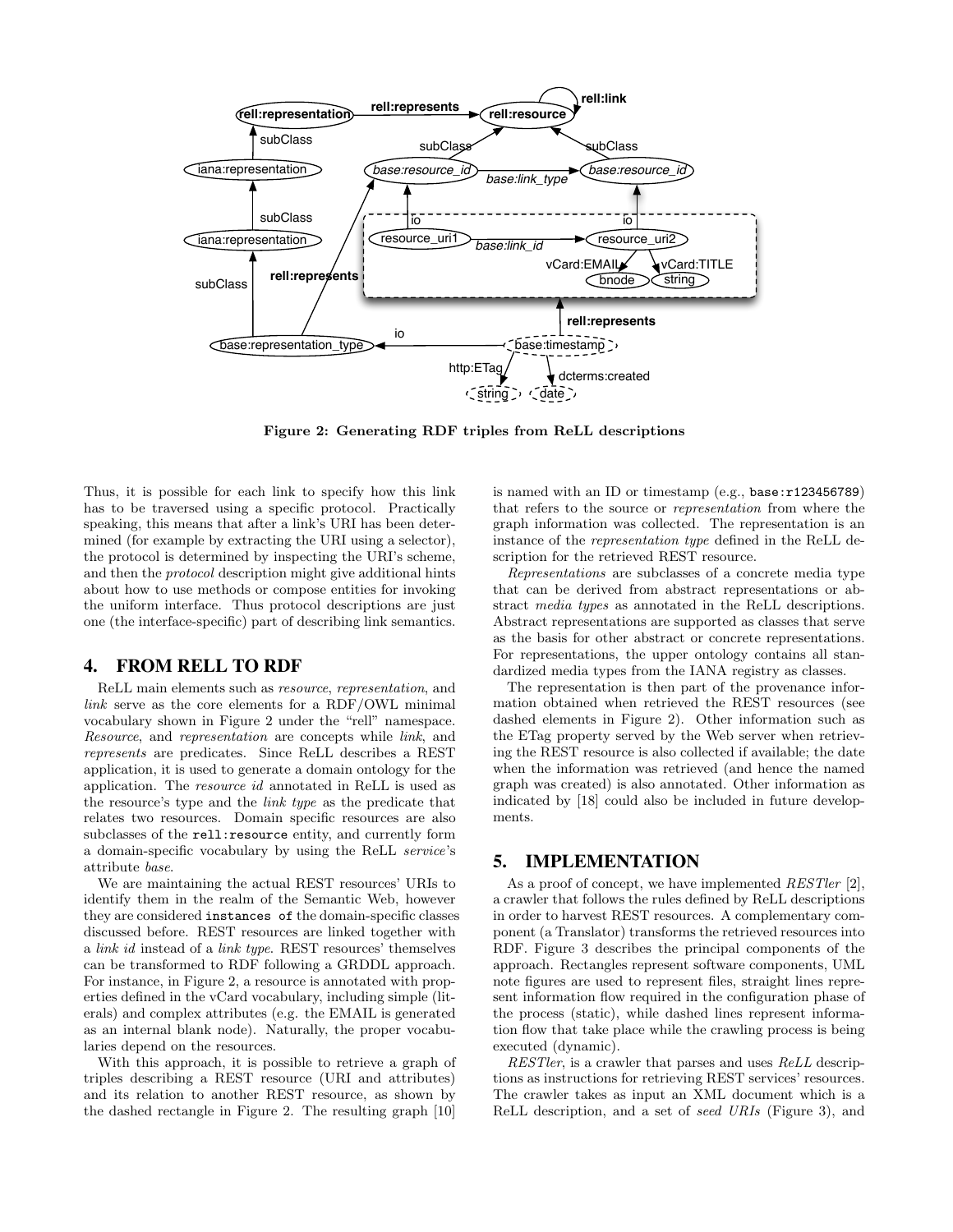<span id="page-4-0"></span>

Figure 2: Generating RDF triples from ReLL descriptions

Thus, it is possible for each link to specify how this link has to be traversed using a specific protocol. Practically speaking, this means that after a link's URI has been determined (for example by extracting the URI using a selector), the protocol is determined by inspecting the URI's scheme, and then the protocol description might give additional hints about how to use methods or compose entities for invoking the uniform interface. Thus protocol descriptions are just one (the interface-specific) part of describing link semantics.

## 4. FROM RELL TO RDF

ReLL main elements such as resource, representation, and link serve as the core elements for a RDF/OWL minimal vocabulary shown in Figure 2 under the "rell" namespace. Resource, and representation are concepts while link, and represents are predicates. Since ReLL describes a REST application, it is used to generate a domain ontology for the application. The resource id annotated in ReLL is used as the resource's type and the link type as the predicate that relates two resources. Domain specific resources are also subclasses of the rell:resource entity, and currently form a domain-specific vocabulary by using the ReLL service's attribute base.

We are maintaining the actual REST resources' URIs to identify them in the realm of the Semantic Web, however they are considered instances of the domain-specific classes discussed before. REST resources are linked together with a link id instead of a link type. REST resources' themselves can be transformed to RDF following a GRDDL approach. For instance, in Figure 2, a resource is annotated with properties defined in the vCard vocabulary, including simple (literals) and complex attributes (e.g. the EMAIL is generated as an internal blank node). Naturally, the proper vocabularies depend on the resources.

With this approach, it is possible to retrieve a graph of triples describing a REST resource (URI and attributes) and its relation to another REST resource, as shown by the dashed rectangle in Figure 2. The resulting graph [\[10\]](#page-8-0)

is named with an ID or timestamp (e.g., base:r123456789) that refers to the source or representation from where the graph information was collected. The representation is an instance of the representation type defined in the ReLL description for the retrieved REST resource.

Representations are subclasses of a concrete media type that can be derived from abstract representations or abstract media types as annotated in the ReLL descriptions. Abstract representations are supported as classes that serve as the basis for other abstract or concrete representations. For representations, the upper ontology contains all standardized media types from the IANA registry as classes.

The representation is then part of the provenance information obtained when retrieved the REST resources (see dashed elements in Figure 2). Other information such as the ETag property served by the Web server when retrieving the REST resource is also collected if available; the date when the information was retrieved (and hence the named graph was created) is also annotated. Other information as indicated by [\[18\]](#page-9-0) could also be included in future developments.

#### 5. IMPLEMENTATION

As a proof of concept, we have implemented *RESTler* [\[2\]](#page-8-0), a crawler that follows the rules defined by ReLL descriptions in order to harvest REST resources. A complementary component (a Translator) transforms the retrieved resources into RDF. Figure [3](#page-5-0) describes the principal components of the approach. Rectangles represent software components, UML note figures are used to represent files, straight lines represent information flow required in the configuration phase of the process (static), while dashed lines represent information flow that take place while the crawling process is being executed (dynamic).

RESTler, is a crawler that parses and uses ReLL descriptions as instructions for retrieving REST services' resources. The crawler takes as input an XML document which is a ReLL description, and a set of seed URIs (Figure [3\)](#page-5-0), and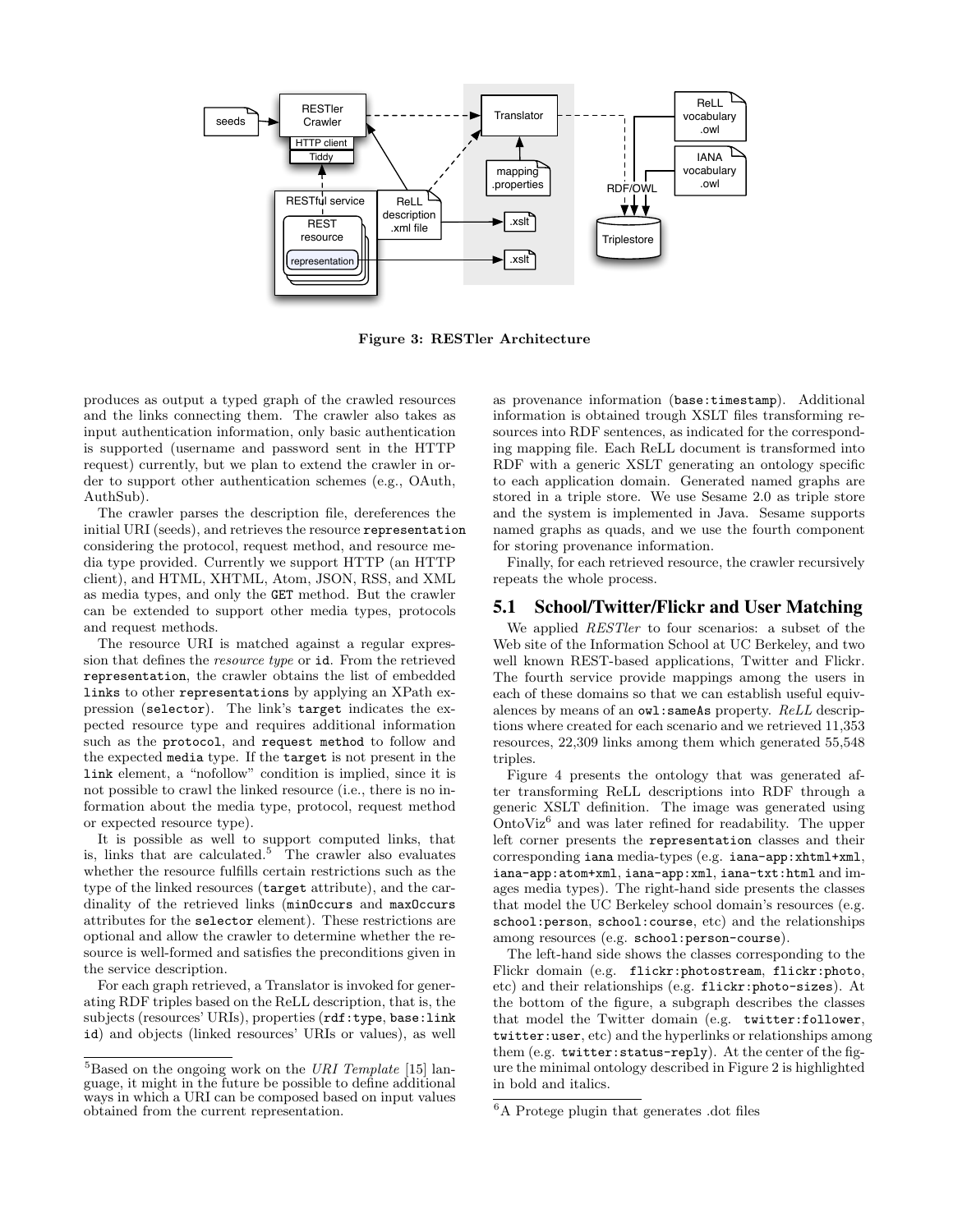<span id="page-5-0"></span>

Figure 3: RESTler Architecture

produces as output a typed graph of the crawled resources and the links connecting them. The crawler also takes as input authentication information, only basic authentication is supported (username and password sent in the HTTP request) currently, but we plan to extend the crawler in order to support other authentication schemes (e.g., OAuth, AuthSub).

The crawler parses the description file, dereferences the initial URI (seeds), and retrieves the resource representation considering the protocol, request method, and resource media type provided. Currently we support HTTP (an HTTP client), and HTML, XHTML, Atom, JSON, RSS, and XML as media types, and only the GET method. But the crawler can be extended to support other media types, protocols and request methods.

The resource URI is matched against a regular expression that defines the resource type or id. From the retrieved representation, the crawler obtains the list of embedded links to other representations by applying an XPath expression (selector). The link's target indicates the expected resource type and requires additional information such as the protocol, and request method to follow and the expected media type. If the target is not present in the link element, a "nofollow" condition is implied, since it is not possible to crawl the linked resource (i.e., there is no information about the media type, protocol, request method or expected resource type).

It is possible as well to support computed links, that is, links that are calculated.<sup>5</sup> The crawler also evaluates whether the resource fulfills certain restrictions such as the type of the linked resources (target attribute), and the cardinality of the retrieved links (minOccurs and maxOccurs attributes for the selector element). These restrictions are optional and allow the crawler to determine whether the resource is well-formed and satisfies the preconditions given in the service description.

For each graph retrieved, a Translator is invoked for generating RDF triples based on the ReLL description, that is, the subjects (resources' URIs), properties (rdf:type, base:link id) and objects (linked resources' URIs or values), as well as provenance information (base:timestamp). Additional information is obtained trough XSLT files transforming resources into RDF sentences, as indicated for the corresponding mapping file. Each ReLL document is transformed into RDF with a generic XSLT generating an ontology specific to each application domain. Generated named graphs are stored in a triple store. We use Sesame 2.0 as triple store and the system is implemented in Java. Sesame supports named graphs as quads, and we use the fourth component for storing provenance information.

Finally, for each retrieved resource, the crawler recursively repeats the whole process.

## 5.1 School/Twitter/Flickr and User Matching

We applied *RESTler* to four scenarios: a subset of the Web site of the Information School at UC Berkeley, and two well known REST-based applications, Twitter and Flickr. The fourth service provide mappings among the users in each of these domains so that we can establish useful equivalences by means of an owl:sameAs property. ReLL descriptions where created for each scenario and we retrieved 11,353 resources, 22,309 links among them which generated 55,548 triples.

Figure [4](#page-6-0) presents the ontology that was generated after transforming ReLL descriptions into RDF through a generic XSLT definition. The image was generated using OntoViz<sup>6</sup> and was later refined for readability. The upper left corner presents the representation classes and their corresponding iana media-types (e.g. iana-app:xhtml+xml, iana-app:atom+xml, iana-app:xml, iana-txt:html and images media types). The right-hand side presents the classes that model the UC Berkeley school domain's resources (e.g. school:person, school:course, etc) and the relationships among resources (e.g. school:person-course).

The left-hand side shows the classes corresponding to the Flickr domain (e.g. flickr:photostream, flickr:photo, etc) and their relationships (e.g. flickr:photo-sizes). At the bottom of the figure, a subgraph describes the classes that model the Twitter domain (e.g. twitter:follower, twitter:user, etc) and the hyperlinks or relationships among them (e.g. twitter:status-reply). At the center of the figure the minimal ontology described in Figure [2](#page-4-0) is highlighted in bold and italics.

 $5B$ ased on the ongoing work on the URI Template [\[15\]](#page-8-0) language, it might in the future be possible to define additional ways in which a URI can be composed based on input values obtained from the current representation.

<sup>6</sup>A Protege plugin that generates .dot files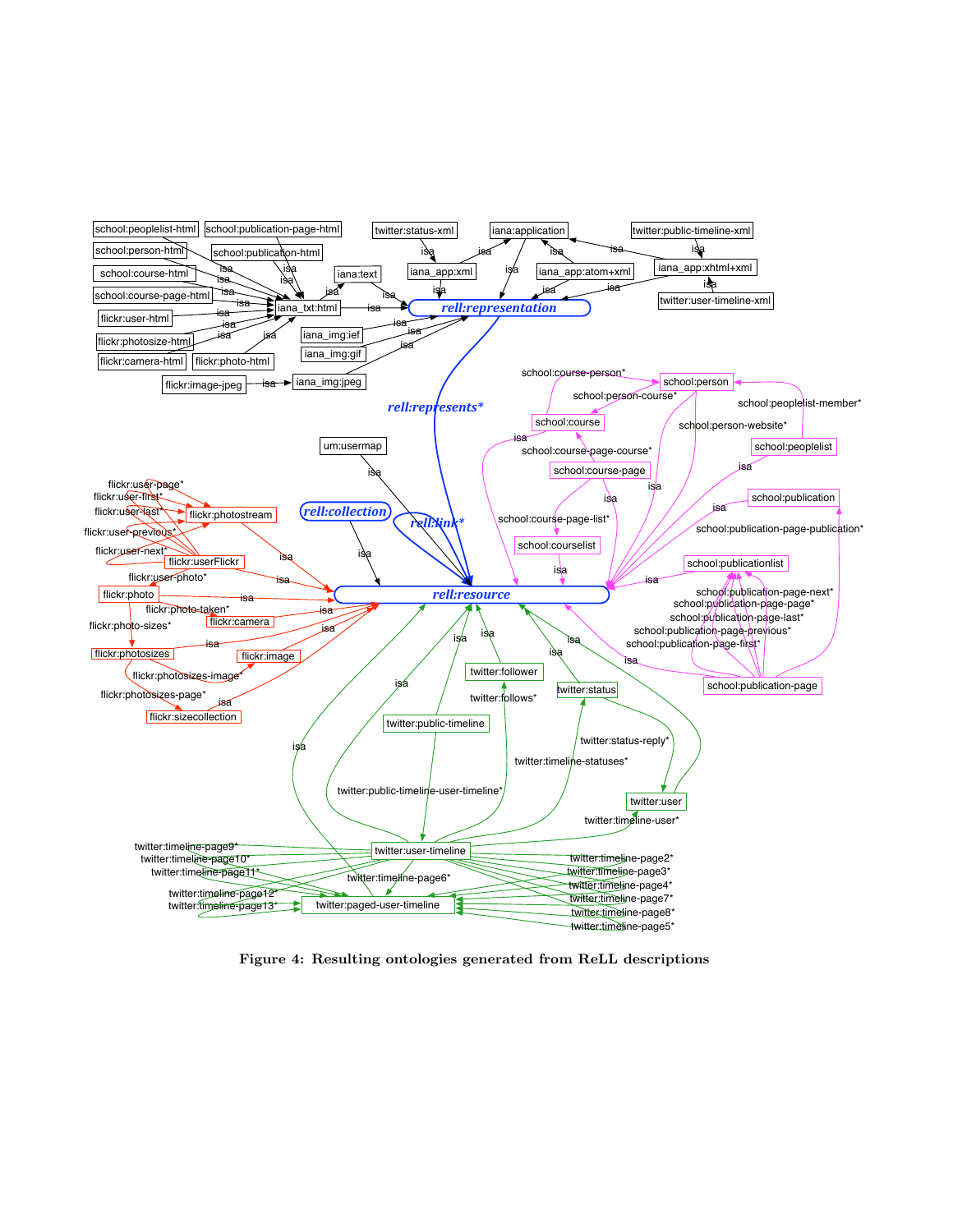<span id="page-6-0"></span>

Figure 4: Resulting ontologies generated from ReLL descriptions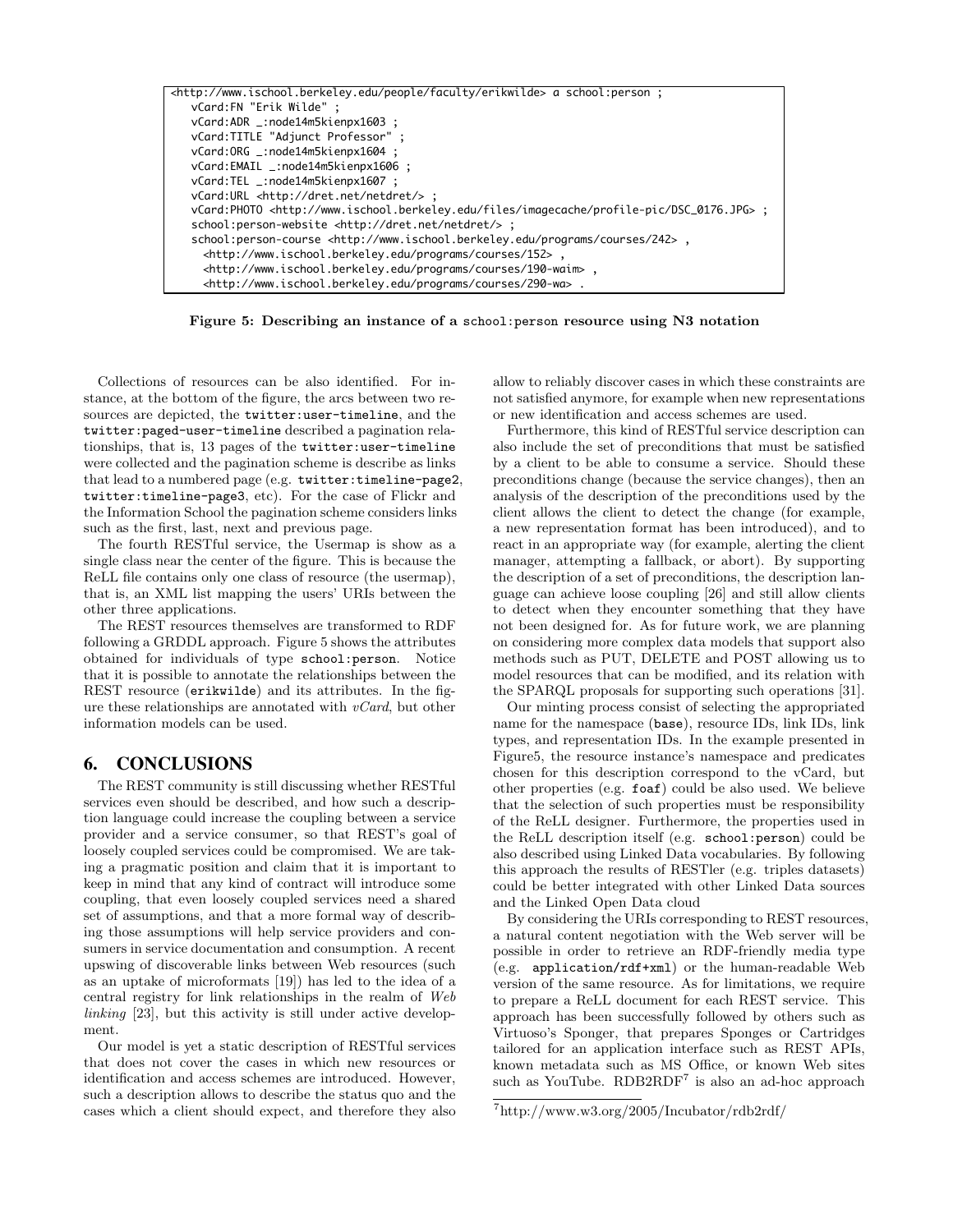<span id="page-7-0"></span>

Figure 5: Describing an instance of a school:person resource using N3 notation

Collections of resources can be also identified. For instance, at the bottom of the figure, the arcs between two resources are depicted, the twitter:user-timeline, and the twitter:paged-user-timeline described a pagination relationships, that is, 13 pages of the twitter:user-timeline were collected and the pagination scheme is describe as links that lead to a numbered page (e.g. twitter:timeline-page2, twitter:timeline-page3, etc). For the case of Flickr and the Information School the pagination scheme considers links such as the first, last, next and previous page.

The fourth RESTful service, the Usermap is show as a single class near the center of the figure. This is because the ReLL file contains only one class of resource (the usermap), that is, an XML list mapping the users' URIs between the other three applications.

The REST resources themselves are transformed to RDF following a GRDDL approach. Figure 5 shows the attributes obtained for individuals of type school:person. Notice that it is possible to annotate the relationships between the REST resource (erikwilde) and its attributes. In the figure these relationships are annotated with  $vCard$ , but other information models can be used.

#### 6. CONCLUSIONS

The REST community is still discussing whether RESTful services even should be described, and how such a description language could increase the coupling between a service provider and a service consumer, so that REST's goal of loosely coupled services could be compromised. We are taking a pragmatic position and claim that it is important to keep in mind that any kind of contract will introduce some coupling, that even loosely coupled services need a shared set of assumptions, and that a more formal way of describing those assumptions will help service providers and consumers in service documentation and consumption. A recent upswing of discoverable links between Web resources (such as an uptake of microformats [\[19\]](#page-9-0)) has led to the idea of a central registry for link relationships in the realm of Web linking [\[23\]](#page-9-0), but this activity is still under active development.

Our model is yet a static description of RESTful services that does not cover the cases in which new resources or identification and access schemes are introduced. However, such a description allows to describe the status quo and the cases which a client should expect, and therefore they also allow to reliably discover cases in which these constraints are not satisfied anymore, for example when new representations or new identification and access schemes are used.

Furthermore, this kind of RESTful service description can also include the set of preconditions that must be satisfied by a client to be able to consume a service. Should these preconditions change (because the service changes), then an analysis of the description of the preconditions used by the client allows the client to detect the change (for example, a new representation format has been introduced), and to react in an appropriate way (for example, alerting the client manager, attempting a fallback, or abort). By supporting the description of a set of preconditions, the description language can achieve loose coupling [\[26\]](#page-9-0) and still allow clients to detect when they encounter something that they have not been designed for. As for future work, we are planning on considering more complex data models that support also methods such as PUT, DELETE and POST allowing us to model resources that can be modified, and its relation with the SPARQL proposals for supporting such operations [\[31\]](#page-9-0).

Our minting process consist of selecting the appropriated name for the namespace (base), resource IDs, link IDs, link types, and representation IDs. In the example presented in Figure5, the resource instance's namespace and predicates chosen for this description correspond to the vCard, but other properties (e.g. foaf) could be also used. We believe that the selection of such properties must be responsibility of the ReLL designer. Furthermore, the properties used in the ReLL description itself (e.g. school:person) could be also described using Linked Data vocabularies. By following this approach the results of RESTler (e.g. triples datasets) could be better integrated with other Linked Data sources and the Linked Open Data cloud

By considering the URIs corresponding to REST resources, a natural content negotiation with the Web server will be possible in order to retrieve an RDF-friendly media type (e.g. application/rdf+xml) or the human-readable Web version of the same resource. As for limitations, we require to prepare a ReLL document for each REST service. This approach has been successfully followed by others such as Virtuoso's Sponger, that prepares Sponges or Cartridges tailored for an application interface such as REST APIs, known metadata such as MS Office, or known Web sites such as YouTube. RDB2RDF<sup>7</sup> is also an ad-hoc approach

<sup>7</sup>http://www.w3.org/2005/Incubator/rdb2rdf/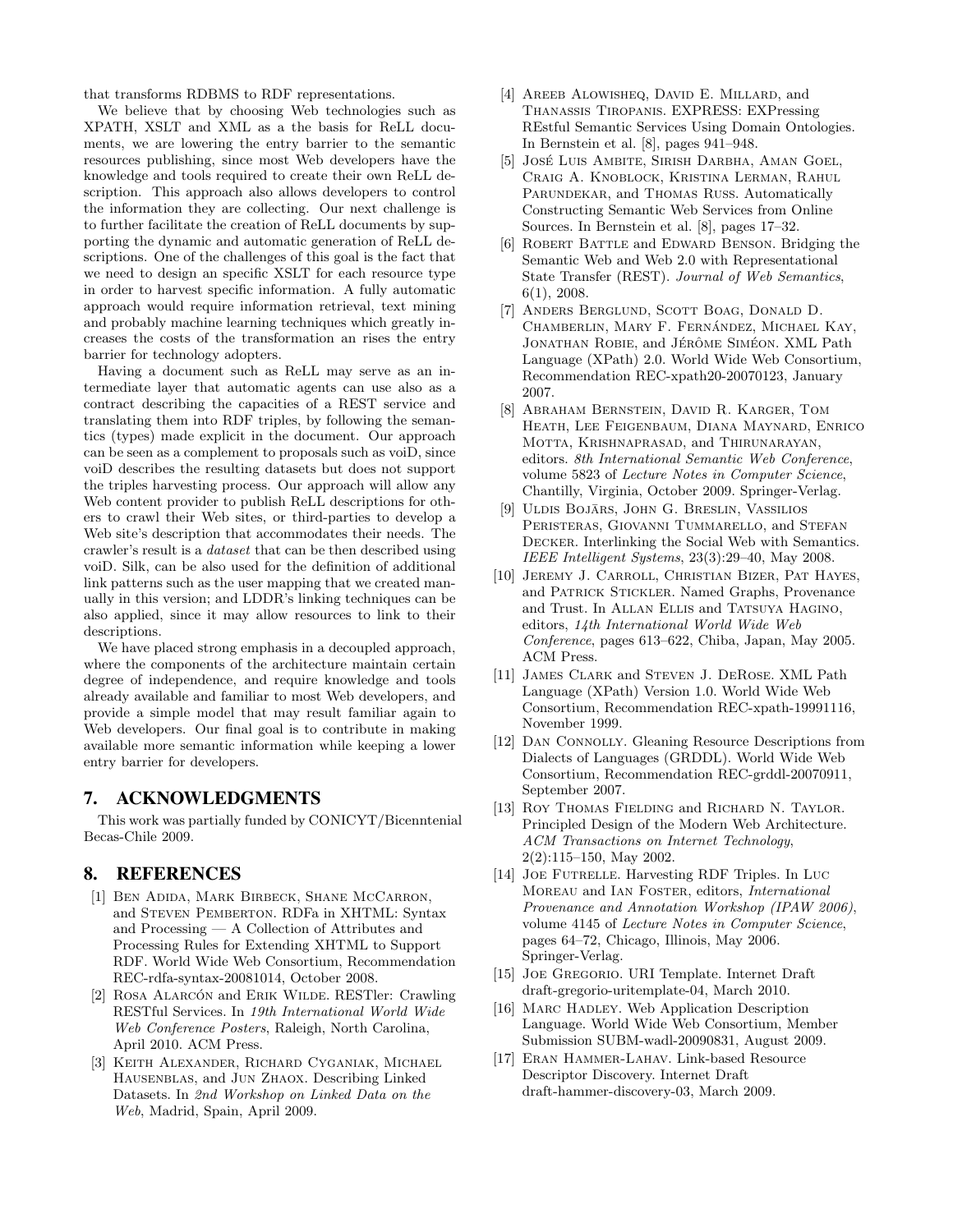<span id="page-8-0"></span>that transforms RDBMS to RDF representations.

We believe that by choosing Web technologies such as XPATH, XSLT and XML as a the basis for ReLL documents, we are lowering the entry barrier to the semantic resources publishing, since most Web developers have the knowledge and tools required to create their own ReLL description. This approach also allows developers to control the information they are collecting. Our next challenge is to further facilitate the creation of ReLL documents by supporting the dynamic and automatic generation of ReLL descriptions. One of the challenges of this goal is the fact that we need to design an specific XSLT for each resource type in order to harvest specific information. A fully automatic approach would require information retrieval, text mining and probably machine learning techniques which greatly increases the costs of the transformation an rises the entry barrier for technology adopters.

Having a document such as ReLL may serve as an intermediate layer that automatic agents can use also as a contract describing the capacities of a REST service and translating them into RDF triples, by following the semantics (types) made explicit in the document. Our approach can be seen as a complement to proposals such as voiD, since voiD describes the resulting datasets but does not support the triples harvesting process. Our approach will allow any Web content provider to publish ReLL descriptions for others to crawl their Web sites, or third-parties to develop a Web site's description that accommodates their needs. The crawler's result is a dataset that can be then described using voiD. Silk, can be also used for the definition of additional link patterns such as the user mapping that we created manually in this version; and LDDR's linking techniques can be also applied, since it may allow resources to link to their descriptions.

We have placed strong emphasis in a decoupled approach, where the components of the architecture maintain certain degree of independence, and require knowledge and tools already available and familiar to most Web developers, and provide a simple model that may result familiar again to Web developers. Our final goal is to contribute in making available more semantic information while keeping a lower entry barrier for developers.

#### 7. ACKNOWLEDGMENTS

This work was partially funded by CONICYT/Bicenntenial Becas-Chile 2009.

## 8. REFERENCES

- [1] Ben Adida, Mark Birbeck, Shane McCarron, and Steven Pemberton. RDFa in XHTML: Syntax and Processing — A Collection of Attributes and Processing Rules for Extending XHTML to Support RDF. World Wide Web Consortium, Recommendation REC-rdfa-syntax-20081014, October 2008.
- [2] ROSA ALARCÓN and ERIK WILDE. RESTler: Crawling RESTful Services. In 19th International World Wide Web Conference Posters, Raleigh, North Carolina, April 2010. ACM Press.
- [3] Keith Alexander, Richard Cyganiak, Michael Hausenblas, and Jun Zhaox. Describing Linked Datasets. In 2nd Workshop on Linked Data on the Web, Madrid, Spain, April 2009.
- [4] AREEB ALOWISHEQ, DAVID E. MILLARD, and Thanassis Tiropanis. EXPRESS: EXPressing REstful Semantic Services Using Domain Ontologies. In Bernstein et al. [8], pages 941–948.
- [5] JOSÉ LUIS AMBITE, SIRISH DARBHA, AMAN GOEL, Craig A. Knoblock, Kristina Lerman, Rahul PARUNDEKAR, and THOMAS RUSS. Automatically Constructing Semantic Web Services from Online Sources. In Bernstein et al. [8], pages 17–32.
- [6] ROBERT BATTLE and EDWARD BENSON. Bridging the Semantic Web and Web 2.0 with Representational State Transfer (REST). Journal of Web Semantics, 6(1), 2008.
- [7] Anders Berglund, Scott Boag, Donald D. CHAMBERLIN, MARY F. FERNÁNDEZ, MICHAEL KAY, JONATHAN ROBIE, and JÉRÔME SIMÉON. XML Path Language (XPath) 2.0. World Wide Web Consortium, Recommendation REC-xpath20-20070123, January 2007.
- [8] Abraham Bernstein, David R. Karger, Tom Heath, Lee Feigenbaum, Diana Maynard, Enrico Motta, Krishnaprasad, and Thirunarayan, editors. 8th International Semantic Web Conference, volume 5823 of Lecture Notes in Computer Science, Chantilly, Virginia, October 2009. Springer-Verlag.
- [9] ULDIS BOJĀRS, JOHN G. BRESLIN, VASSILIOS PERISTERAS, GIOVANNI TUMMARELLO, and STEFAN Decker. Interlinking the Social Web with Semantics. IEEE Intelligent Systems, 23(3):29–40, May 2008.
- [10] JEREMY J. CARROLL, CHRISTIAN BIZER, PAT HAYES, and Patrick Stickler. Named Graphs, Provenance and Trust. In Allan Ellis and Tatsuya Hagino, editors, 14th International World Wide Web Conference, pages 613–622, Chiba, Japan, May 2005. ACM Press.
- [11] James Clark and Steven J. DeRose. XML Path Language (XPath) Version 1.0. World Wide Web Consortium, Recommendation REC-xpath-19991116, November 1999.
- [12] DAN CONNOLLY. Gleaning Resource Descriptions from Dialects of Languages (GRDDL). World Wide Web Consortium, Recommendation REC-grddl-20070911, September 2007.
- [13] ROY THOMAS FIELDING and RICHARD N. TAYLOR. Principled Design of the Modern Web Architecture. ACM Transactions on Internet Technology, 2(2):115–150, May 2002.
- [14] Joe Futrelle. Harvesting RDF Triples. In Luc MOREAU and IAN FOSTER, editors, *International* Provenance and Annotation Workshop (IPAW 2006), volume 4145 of Lecture Notes in Computer Science, pages 64–72, Chicago, Illinois, May 2006. Springer-Verlag.
- [15] Joe Gregorio. URI Template. Internet Draft draft-gregorio-uritemplate-04, March 2010.
- [16] MARC HADLEY. Web Application Description Language. World Wide Web Consortium, Member Submission SUBM-wadl-20090831, August 2009.
- [17] Eran Hammer-Lahav. Link-based Resource Descriptor Discovery. Internet Draft draft-hammer-discovery-03, March 2009.